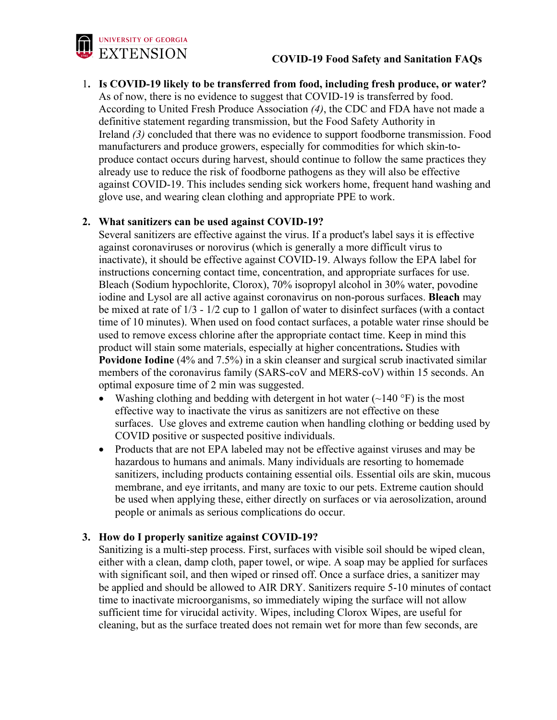

1**. Is COVID-19 likely to be transferred from food, including fresh produce, or water?** As of now, there is no evidence to suggest that COVID-19 is transferred by food. According to United Fresh Produce Association *(4)*, the CDC and FDA have not made a definitive statement regarding transmission, but the Food Safety Authority in Ireland *(3)* concluded that there was no evidence to support foodborne transmission. Food manufacturers and produce growers, especially for commodities for which skin-toproduce contact occurs during harvest, should continue to follow the same practices they already use to reduce the risk of foodborne pathogens as they will also be effective against COVID-19. This includes sending sick workers home, frequent hand washing and glove use, and wearing clean clothing and appropriate PPE to work.

# **2. What sanitizers can be used against COVID-19?**

Several sanitizers are effective against the virus. If a product's label says it is effective against coronaviruses or norovirus (which is generally a more difficult virus to inactivate), it should be effective against COVID-19. Always follow the EPA label for instructions concerning contact time, concentration, and appropriate surfaces for use. Bleach (Sodium hypochlorite, Clorox), 70% isopropyl alcohol in 30% water, povodine iodine and Lysol are all active against coronavirus on non-porous surfaces. **Bleach** may be mixed at rate of 1/3 - 1/2 cup to 1 gallon of water to disinfect surfaces (with a contact time of 10 minutes). When used on food contact surfaces, a potable water rinse should be used to remove excess chlorine after the appropriate contact time. Keep in mind this product will stain some materials, especially at higher concentrations**.** Studies with **Povidone Iodine** (4% and 7.5%) in a skin cleanser and surgical scrub inactivated similar members of the coronavirus family (SARS-coV and MERS-coV) within 15 seconds. An optimal exposure time of 2 min was suggested.

- Washing clothing and bedding with detergent in hot water  $(\sim 140 \degree F)$  is the most effective way to inactivate the virus as sanitizers are not effective on these surfaces. Use gloves and extreme caution when handling clothing or bedding used by COVID positive or suspected positive individuals.
- Products that are not EPA labeled may not be effective against viruses and may be hazardous to humans and animals. Many individuals are resorting to homemade sanitizers, including products containing essential oils. Essential oils are skin, mucous membrane, and eye irritants, and many are toxic to our pets. Extreme caution should be used when applying these, either directly on surfaces or via aerosolization, around people or animals as serious complications do occur.

## **3. How do I properly sanitize against COVID-19?**

Sanitizing is a multi-step process. First, surfaces with visible soil should be wiped clean, either with a clean, damp cloth, paper towel, or wipe. A soap may be applied for surfaces with significant soil, and then wiped or rinsed off. Once a surface dries, a sanitizer may be applied and should be allowed to AIR DRY. Sanitizers require 5-10 minutes of contact time to inactivate microorganisms, so immediately wiping the surface will not allow sufficient time for virucidal activity. Wipes, including Clorox Wipes, are useful for cleaning, but as the surface treated does not remain wet for more than few seconds, are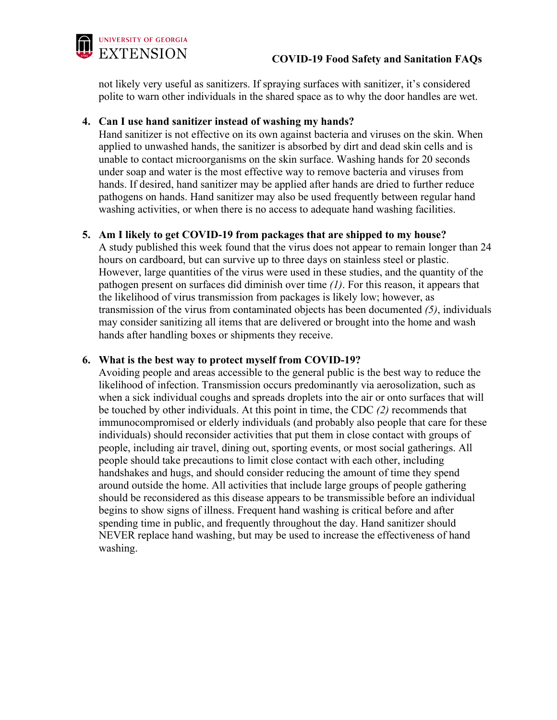

not likely very useful as sanitizers. If spraying surfaces with sanitizer, it's considered polite to warn other individuals in the shared space as to why the door handles are wet.

## **4. Can I use hand sanitizer instead of washing my hands?**

Hand sanitizer is not effective on its own against bacteria and viruses on the skin. When applied to unwashed hands, the sanitizer is absorbed by dirt and dead skin cells and is unable to contact microorganisms on the skin surface. Washing hands for 20 seconds under soap and water is the most effective way to remove bacteria and viruses from hands. If desired, hand sanitizer may be applied after hands are dried to further reduce pathogens on hands. Hand sanitizer may also be used frequently between regular hand washing activities, or when there is no access to adequate hand washing facilities.

## **5. Am I likely to get COVID-19 from packages that are shipped to my house?**

A study published this week found that the virus does not appear to remain longer than 24 hours on cardboard, but can survive up to three days on stainless steel or plastic. However, large quantities of the virus were used in these studies, and the quantity of the pathogen present on surfaces did diminish over time *(1)*. For this reason, it appears that the likelihood of virus transmission from packages is likely low; however, as transmission of the virus from contaminated objects has been documented *(5)*, individuals may consider sanitizing all items that are delivered or brought into the home and wash hands after handling boxes or shipments they receive.

## **6. What is the best way to protect myself from COVID-19?**

Avoiding people and areas accessible to the general public is the best way to reduce the likelihood of infection. Transmission occurs predominantly via aerosolization, such as when a sick individual coughs and spreads droplets into the air or onto surfaces that will be touched by other individuals. At this point in time, the CDC *(2)* recommends that immunocompromised or elderly individuals (and probably also people that care for these individuals) should reconsider activities that put them in close contact with groups of people, including air travel, dining out, sporting events, or most social gatherings. All people should take precautions to limit close contact with each other, including handshakes and hugs, and should consider reducing the amount of time they spend around outside the home. All activities that include large groups of people gathering should be reconsidered as this disease appears to be transmissible before an individual begins to show signs of illness. Frequent hand washing is critical before and after spending time in public, and frequently throughout the day. Hand sanitizer should NEVER replace hand washing, but may be used to increase the effectiveness of hand washing.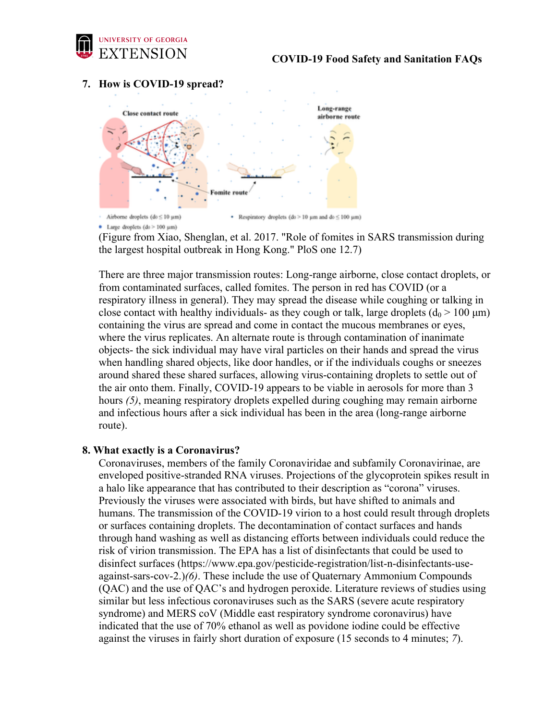

## **7. How is COVID-19 spread?**



(Figure from Xiao, Shenglan, et al. 2017. "Role of fomites in SARS transmission during the largest hospital outbreak in Hong Kong." PloS one 12.7)

There are three major transmission routes: Long-range airborne, close contact droplets, or from contaminated surfaces, called fomites. The person in red has COVID (or a respiratory illness in general). They may spread the disease while coughing or talking in close contact with healthy individuals- as they cough or talk, large droplets ( $d_0 > 100 \mu m$ ) containing the virus are spread and come in contact the mucous membranes or eyes, where the virus replicates. An alternate route is through contamination of inanimate objects- the sick individual may have viral particles on their hands and spread the virus when handling shared objects, like door handles, or if the individuals coughs or sneezes around shared these shared surfaces, allowing virus-containing droplets to settle out of the air onto them. Finally, COVID-19 appears to be viable in aerosols for more than 3 hours *(5)*, meaning respiratory droplets expelled during coughing may remain airborne and infectious hours after a sick individual has been in the area (long-range airborne route).

#### **8. What exactly is a Coronavirus?**

 Coronaviruses, members of the family Coronaviridae and subfamily Coronavirinae, are enveloped positive-stranded RNA viruses. Projections of the glycoprotein spikes result in a halo like appearance that has contributed to their description as "corona" viruses. Previously the viruses were associated with birds, but have shifted to animals and humans. The transmission of the COVID-19 virion to a host could result through droplets or surfaces containing droplets. The decontamination of contact surfaces and hands through hand washing as well as distancing efforts between individuals could reduce the risk of virion transmission. The EPA has a list of disinfectants that could be used to disinfect surfaces (https://www.epa.gov/pesticide-registration/list-n-disinfectants-useagainst-sars-cov-2.)*(6)*. These include the use of Quaternary Ammonium Compounds (QAC) and the use of QAC's and hydrogen peroxide. Literature reviews of studies using similar but less infectious coronaviruses such as the SARS (severe acute respiratory syndrome) and MERS coV (Middle east respiratory syndrome coronavirus) have indicated that the use of 70% ethanol as well as povidone iodine could be effective against the viruses in fairly short duration of exposure (15 seconds to 4 minutes; *7*).